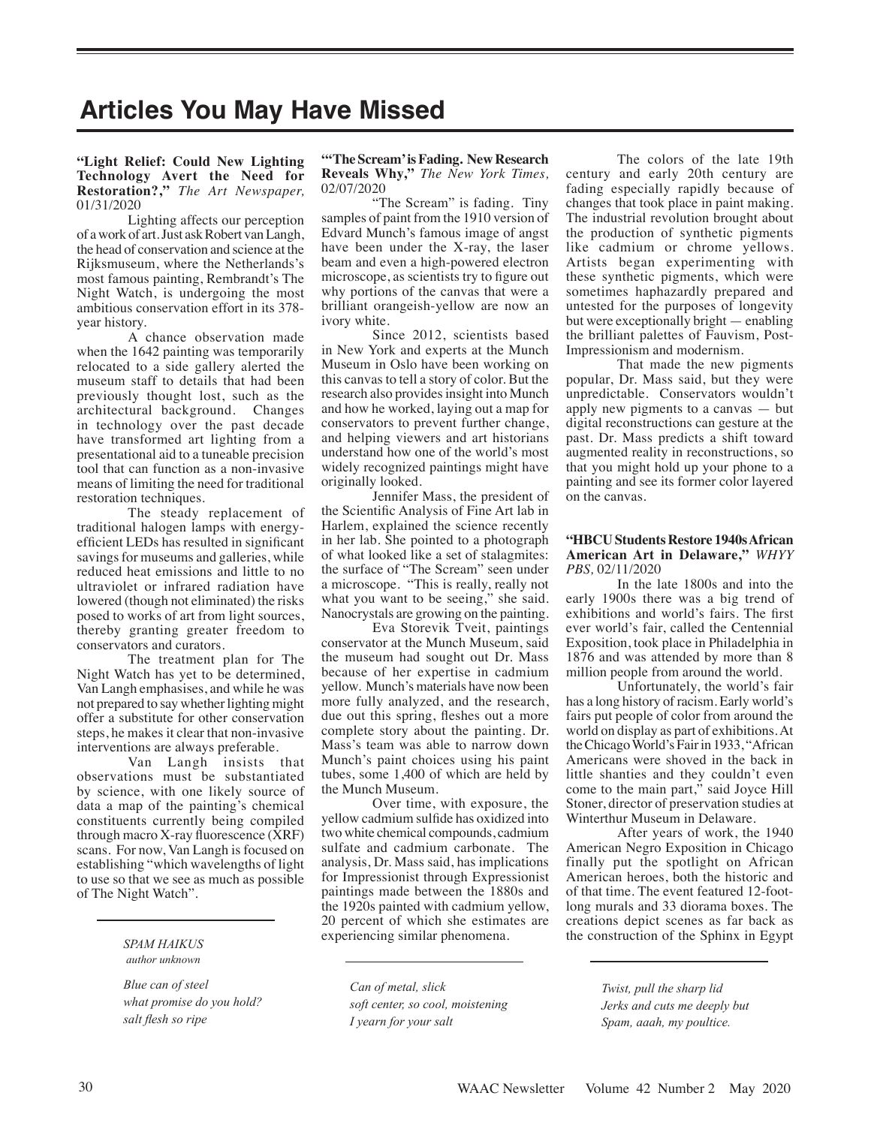# **Articles You May Have Missed**

## **"Light Relief: Could New Lighting Technology Avert the Need for Restoration?,"** *The Art Newspaper,*  01/31/2020

Lighting affects our perception of a work of art. Just ask Robert van Langh, the head of conservation and science at the Rijksmuseum, where the Netherlands's most famous painting, Rembrandt's The Night Watch, is undergoing the most ambitious conservation effort in its 378 year history.

A chance observation made when the 1642 painting was temporarily relocated to a side gallery alerted the museum staff to details that had been previously thought lost, such as the architectural background. Changes in technology over the past decade have transformed art lighting from a presentational aid to a tuneable precision tool that can function as a non-invasive means of limiting the need for traditional restoration techniques.

The steady replacement of traditional halogen lamps with energyefficient LEDs has resulted in significant savings for museums and galleries, while reduced heat emissions and little to no ultraviolet or infrared radiation have lowered (though not eliminated) the risks posed to works of art from light sources, thereby granting greater freedom to conservators and curators.

The treatment plan for The Night Watch has yet to be determined, Van Langh emphasises, and while he was not prepared to say whether lighting might offer a substitute for other conservation steps, he makes it clear that non-invasive interventions are always preferable.

Van Langh insists that observations must be substantiated by science, with one likely source of data a map of the painting's chemical constituents currently being compiled through macro X-ray fluorescence (XRF) scans. For now, Van Langh is focused on establishing "which wavelengths of light to use so that we see as much as possible of The Night Watch".

 *author unknown*

*Blue can of steel what promise do you hold? salt flesh so ripe*

#### **"'The Scream' is Fading. New Research Reveals Why,"** *The New York Times,*  02/07/2020

"The Scream" is fading. Tiny samples of paint from the 1910 version of Edvard Munch's famous image of angst have been under the X-ray, the laser beam and even a high-powered electron microscope, as scientists try to figure out why portions of the canvas that were a brilliant orangeish-yellow are now an ivory white.

Since 2012, scientists based in New York and experts at the Munch Museum in Oslo have been working on this canvas to tell a story of color. But the research also provides insight into Munch and how he worked, laying out a map for conservators to prevent further change, and helping viewers and art historians understand how one of the world's most widely recognized paintings might have originally looked.

Jennifer Mass, the president of the Scientific Analysis of Fine Art lab in Harlem, explained the science recently in her lab. She pointed to a photograph of what looked like a set of stalagmites: the surface of "The Scream" seen under a microscope. "This is really, really not what you want to be seeing," she said. Nanocrystals are growing on the painting.

Eva Storevik Tveit, paintings conservator at the Munch Museum, said the museum had sought out Dr. Mass because of her expertise in cadmium yellow. Munch's materials have now been more fully analyzed, and the research, due out this spring, fleshes out a more complete story about the painting. Dr. Mass's team was able to narrow down Munch's paint choices using his paint tubes, some 1,400 of which are held by the Munch Museum.

Over time, with exposure, the yellow cadmium sulfide has oxidized into two white chemical compounds, cadmium sulfate and cadmium carbonate. The analysis, Dr. Mass said, has implications for Impressionist through Expressionist paintings made between the 1880s and the 1920s painted with cadmium yellow, 20 percent of which she estimates are experiencing similar phenomena.

*Can of metal, slick soft center, so cool, moistening I yearn for your salt*

The colors of the late 19th century and early 20th century are fading especially rapidly because of changes that took place in paint making. The industrial revolution brought about the production of synthetic pigments like cadmium or chrome yellows. Artists began experimenting with these synthetic pigments, which were sometimes haphazardly prepared and untested for the purposes of longevity but were exceptionally bright — enabling the brilliant palettes of Fauvism, Post-Impressionism and modernism.

That made the new pigments popular, Dr. Mass said, but they were unpredictable. Conservators wouldn't apply new pigments to a canvas — but digital reconstructions can gesture at the past. Dr. Mass predicts a shift toward augmented reality in reconstructions, so that you might hold up your phone to a painting and see its former color layered on the canvas.

#### **"HBCU Students Restore 1940s African American Art in Delaware,"** *WHYY PBS,* 02/11/2020

In the late 1800s and into the early 1900s there was a big trend of exhibitions and world's fairs. The first ever world's fair, called the Centennial Exposition, took place in Philadelphia in 1876 and was attended by more than 8 million people from around the world.

Unfortunately, the world's fair has a long history of racism. Early world's fairs put people of color from around the world on display as part of exhibitions. At the Chicago World's Fair in 1933, "African Americans were shoved in the back in little shanties and they couldn't even come to the main part," said Joyce Hill Stoner, director of preservation studies at Winterthur Museum in Delaware.

After years of work, the 1940 American Negro Exposition in Chicago finally put the spotlight on African American heroes, both the historic and of that time. The event featured 12-footlong murals and 33 diorama boxes. The creations depict scenes as far back as sPAM HAIKUS<br>SPAM HAIKUS

> *Twist, pull the sharp lid Jerks and cuts me deeply but Spam, aaah, my poultice.*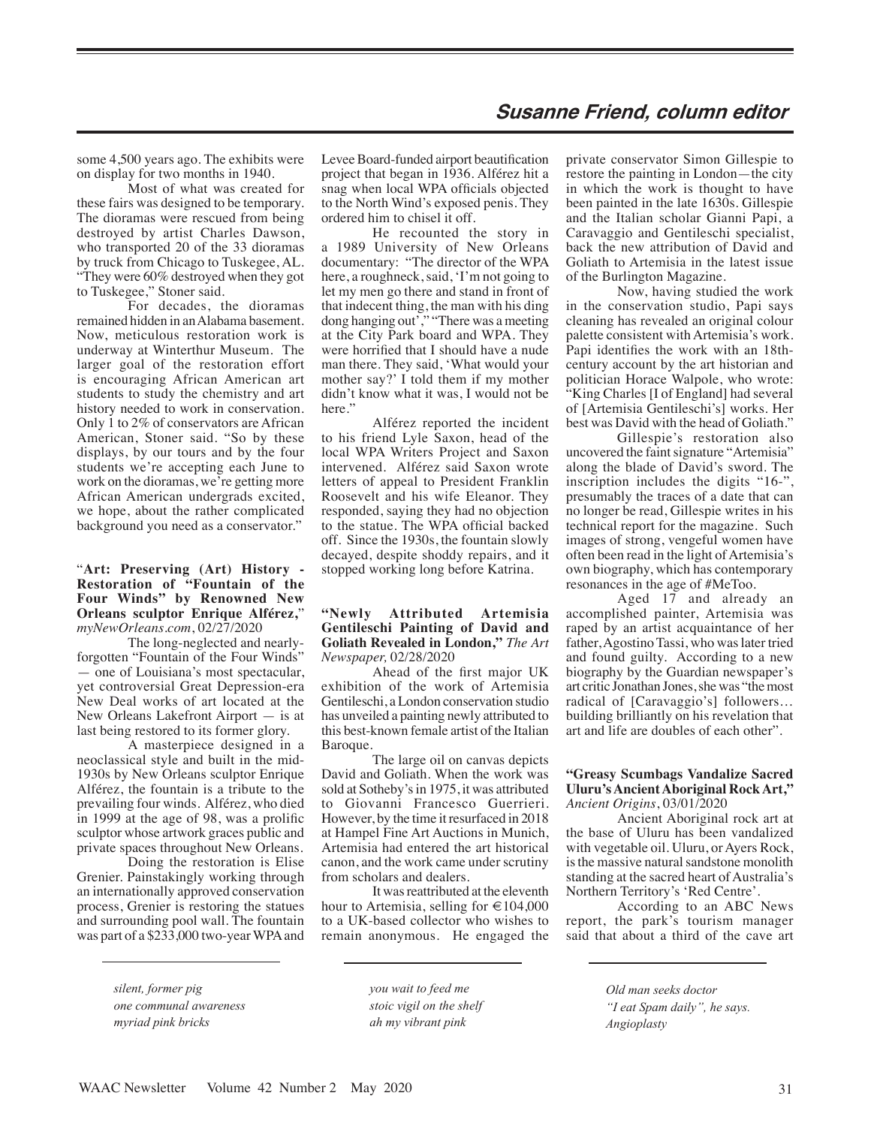some 4,500 years ago. The exhibits were on display for two months in 1940.

Most of what was created for these fairs was designed to be temporary. The dioramas were rescued from being destroyed by artist Charles Dawson, who transported 20 of the 33 dioramas by truck from Chicago to Tuskegee, AL. "They were 60% destroyed when they got to Tuskegee," Stoner said.

For decades, the dioramas remained hidden in an Alabama basement. Now, meticulous restoration work is underway at Winterthur Museum. The larger goal of the restoration effort is encouraging African American art students to study the chemistry and art history needed to work in conservation. Only 1 to 2% of conservators are African American, Stoner said. "So by these displays, by our tours and by the four students we're accepting each June to work on the dioramas, we're getting more African American undergrads excited, we hope, about the rather complicated background you need as a conservator."

## "**Art: Preserving (Art) History - Restoration of "Fountain of the Four Winds" by Renowned New Orleans sculptor Enrique Alférez,**" *myNewOrleans.com*, 02/27/2020

The long-neglected and nearlyforgotten "Fountain of the Four Winds" — one of Louisiana's most spectacular, yet controversial Great Depression-era New Deal works of art located at the New Orleans Lakefront Airport — is at last being restored to its former glory.

A masterpiece designed in a neoclassical style and built in the mid-1930s by New Orleans sculptor Enrique Alférez, the fountain is a tribute to the prevailing four winds. Alférez, who died in 1999 at the age of 98, was a prolific sculptor whose artwork graces public and private spaces throughout New Orleans.

Doing the restoration is Elise Grenier. Painstakingly working through an internationally approved conservation process, Grenier is restoring the statues and surrounding pool wall. The fountain was part of a \$233,000 two-year WPA and

Levee Board-funded airport beautification project that began in 1936. Alférez hit a snag when local WPA officials objected to the North Wind's exposed penis. They ordered him to chisel it off.

He recounted the story in a 1989 University of New Orleans documentary: "The director of the WPA here, a roughneck, said, 'I'm not going to let my men go there and stand in front of that indecent thing, the man with his ding dong hanging out'," "There was a meeting at the City Park board and WPA. They were horrified that I should have a nude man there. They said, 'What would your mother say?' I told them if my mother didn't know what it was, I would not be here'

Alférez reported the incident to his friend Lyle Saxon, head of the local WPA Writers Project and Saxon intervened. Alférez said Saxon wrote letters of appeal to President Franklin Roosevelt and his wife Eleanor. They responded, saying they had no objection to the statue. The WPA official backed off. Since the 1930s, the fountain slowly decayed, despite shoddy repairs, and it stopped working long before Katrina.

## **"Newly Attributed Artemisia Gentileschi Painting of David and Goliath Revealed in London,"** *The Art Newspaper,* 02/28/2020

Ahead of the first major UK exhibition of the work of Artemisia Gentileschi, a London conservation studio has unveiled a painting newly attributed to this best-known female artist of the Italian Baroque.

The large oil on canvas depicts David and Goliath. When the work was sold at Sotheby's in 1975, it was attributed to Giovanni Francesco Guerrieri. However, by the time it resurfaced in 2018 at Hampel Fine Art Auctions in Munich, Artemisia had entered the art historical canon, and the work came under scrutiny from scholars and dealers.

It was reattributed at the eleventh hour to Artemisia, selling for  $\text{\large\ensuremath{\in}} 104,000$ to a UK-based collector who wishes to remain anonymous. He engaged the

*silent, former pig one communal awareness myriad pink bricks*

*you wait to feed me stoic vigil on the shelf ah my vibrant pink*

private conservator Simon Gillespie to restore the painting in London—the city in which the work is thought to have been painted in the late 1630s. Gillespie and the Italian scholar Gianni Papi, a Caravaggio and Gentileschi specialist, back the new attribution of David and Goliath to Artemisia in the latest issue of the Burlington Magazine.

Now, having studied the work in the conservation studio, Papi says cleaning has revealed an original colour palette consistent with Artemisia's work. Papi identifies the work with an 18thcentury account by the art historian and politician Horace Walpole, who wrote: "King Charles [I of England] had several of [Artemisia Gentileschi's] works. Her best was David with the head of Goliath."

Gillespie's restoration also uncovered the faint signature "Artemisia" along the blade of David's sword. The inscription includes the digits "16-", presumably the traces of a date that can no longer be read, Gillespie writes in his technical report for the magazine. Such images of strong, vengeful women have often been read in the light of Artemisia's own biography, which has contemporary resonances in the age of #MeToo.

Aged 17 and already an accomplished painter, Artemisia was raped by an artist acquaintance of her father, Agostino Tassi, who was later tried and found guilty. According to a new biography by the Guardian newspaper's art critic Jonathan Jones, she was "the most radical of [Caravaggio's] followers… building brilliantly on his revelation that art and life are doubles of each other".

## **"Greasy Scumbags Vandalize Sacred Uluru's Ancient Aboriginal Rock Art,"** *Ancient Origins*, 03/01/2020

Ancient Aboriginal rock art at the base of Uluru has been vandalized with vegetable oil. Uluru, or Ayers Rock, is the massive natural sandstone monolith standing at the sacred heart of Australia's Northern Territory's 'Red Centre'.

According to an ABC News report, the park's tourism manager said that about a third of the cave art

> *Old man seeks doctor "I eat Spam daily", he says. Angioplasty*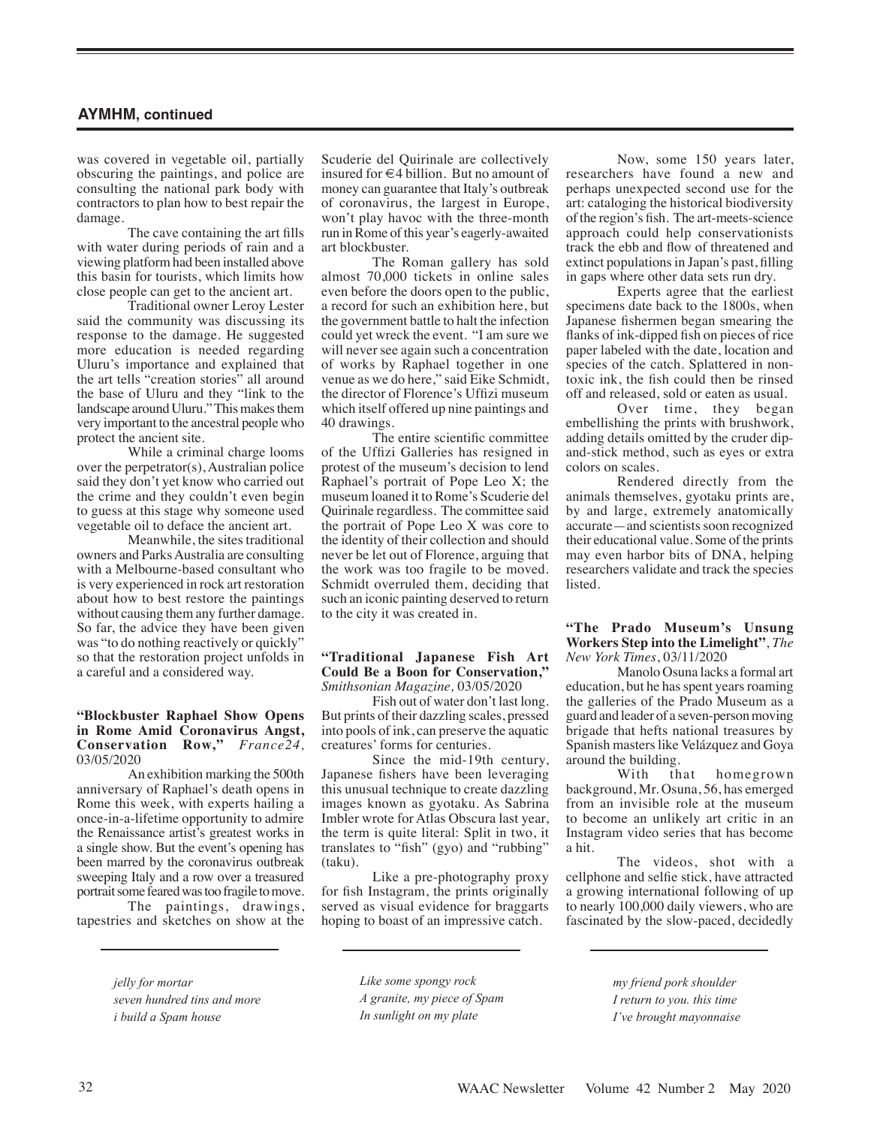was covered in vegetable oil, partially obscuring the paintings, and police are consulting the national park body with contractors to plan how to best repair the damage.

The cave containing the art fills with water during periods of rain and a viewing platform had been installed above this basin for tourists, which limits how close people can get to the ancient art.

Traditional owner Leroy Lester said the community was discussing its response to the damage. He suggested more education is needed regarding Uluru's importance and explained that the art tells "creation stories" all around the base of Uluru and they "link to the landscape around Uluru." This makes them very important to the ancestral people who protect the ancient site.

While a criminal charge looms over the perpetrator(s), Australian police said they don't yet know who carried out the crime and they couldn't even begin to guess at this stage why someone used vegetable oil to deface the ancient art.

Meanwhile, the sites traditional owners and Parks Australia are consulting with a Melbourne-based consultant who is very experienced in rock art restoration about how to best restore the paintings without causing them any further damage. So far, the advice they have been given was "to do nothing reactively or quickly" so that the restoration project unfolds in a careful and a considered way.

#### **"Blockbuster Raphael Show Opens in Rome Amid Coronavirus Angst, Conservation Row,"** *France24,*  03/05/2020

An exhibition marking the 500th anniversary of Raphael's death opens in Rome this week, with experts hailing a once-in-a-lifetime opportunity to admire the Renaissance artist's greatest works in a single show. But the event's opening has been marred by the coronavirus outbreak sweeping Italy and a row over a treasured portrait some feared was too fragile to move.

The paintings, drawings, tapestries and sketches on show at the

Scuderie del Quirinale are collectively insured for €4 billion. But no amount of money can guarantee that Italy's outbreak of coronavirus, the largest in Europe, won't play havoc with the three-month run in Rome of this year's eagerly-awaited art blockbuster.

The Roman gallery has sold almost 70,000 tickets in online sales even before the doors open to the public, a record for such an exhibition here, but the government battle to halt the infection could yet wreck the event. "I am sure we will never see again such a concentration of works by Raphael together in one venue as we do here," said Eike Schmidt, the director of Florence's Uffizi museum which itself offered up nine paintings and 40 drawings.

The entire scientific committee of the Uffizi Galleries has resigned in protest of the museum's decision to lend Raphael's portrait of Pope Leo X; the museum loaned it to Rome's Scuderie del Quirinale regardless. The committee said the portrait of Pope Leo X was core to the identity of their collection and should never be let out of Florence, arguing that the work was too fragile to be moved. Schmidt overruled them, deciding that such an iconic painting deserved to return to the city it was created in.

#### **"Traditional Japanese Fish Art Could Be a Boon for Conservation,"**  *Smithsonian Magazine,* 03/05/2020

Fish out of water don't last long. But prints of their dazzling scales, pressed into pools of ink, can preserve the aquatic creatures' forms for centuries.

Since the mid-19th century, Japanese fishers have been leveraging this unusual technique to create dazzling images known as gyotaku. As Sabrina Imbler wrote for Atlas Obscura last year, the term is quite literal: Split in two, it translates to "fish" (gyo) and "rubbing" (taku).

Like a pre-photography proxy for fish Instagram, the prints originally served as visual evidence for braggarts hoping to boast of an impressive catch.

*jelly for mortar seven hundred tins and more i build a Spam house*

*Like some spongy rock A granite, my piece of Spam In sunlight on my plate*

Now, some 150 years later, researchers have found a new and perhaps unexpected second use for the art: cataloging the historical biodiversity of the region's fish. The art-meets-science approach could help conservationists track the ebb and flow of threatened and extinct populations in Japan's past, filling in gaps where other data sets run dry.

Experts agree that the earliest specimens date back to the 1800s, when Japanese fishermen began smearing the flanks of ink-dipped fish on pieces of rice paper labeled with the date, location and species of the catch. Splattered in nontoxic ink, the fish could then be rinsed off and released, sold or eaten as usual.

Over time, they began embellishing the prints with brushwork, adding details omitted by the cruder dipand-stick method, such as eyes or extra colors on scales.

Rendered directly from the animals themselves, gyotaku prints are, by and large, extremely anatomically accurate—and scientists soon recognized their educational value. Some of the prints may even harbor bits of DNA, helping researchers validate and track the species listed.

**"The Prado Museum's Unsung Workers Step into the Limelight"**, *The New York Times*, 03/11/2020

Manolo Osuna lacks a formal art education, but he has spent years roaming the galleries of the Prado Museum as a guard and leader of a seven-person moving brigade that hefts national treasures by Spanish masters like Velázquez and Goya around the building.

With that homegrown background, Mr. Osuna, 56, has emerged from an invisible role at the museum to become an unlikely art critic in an Instagram video series that has become a hit.

The videos, shot with a cellphone and selfie stick, have attracted a growing international following of up to nearly 100,000 daily viewers, who are fascinated by the slow-paced, decidedly

> *my friend pork shoulder I return to you. this time I've brought mayonnaise*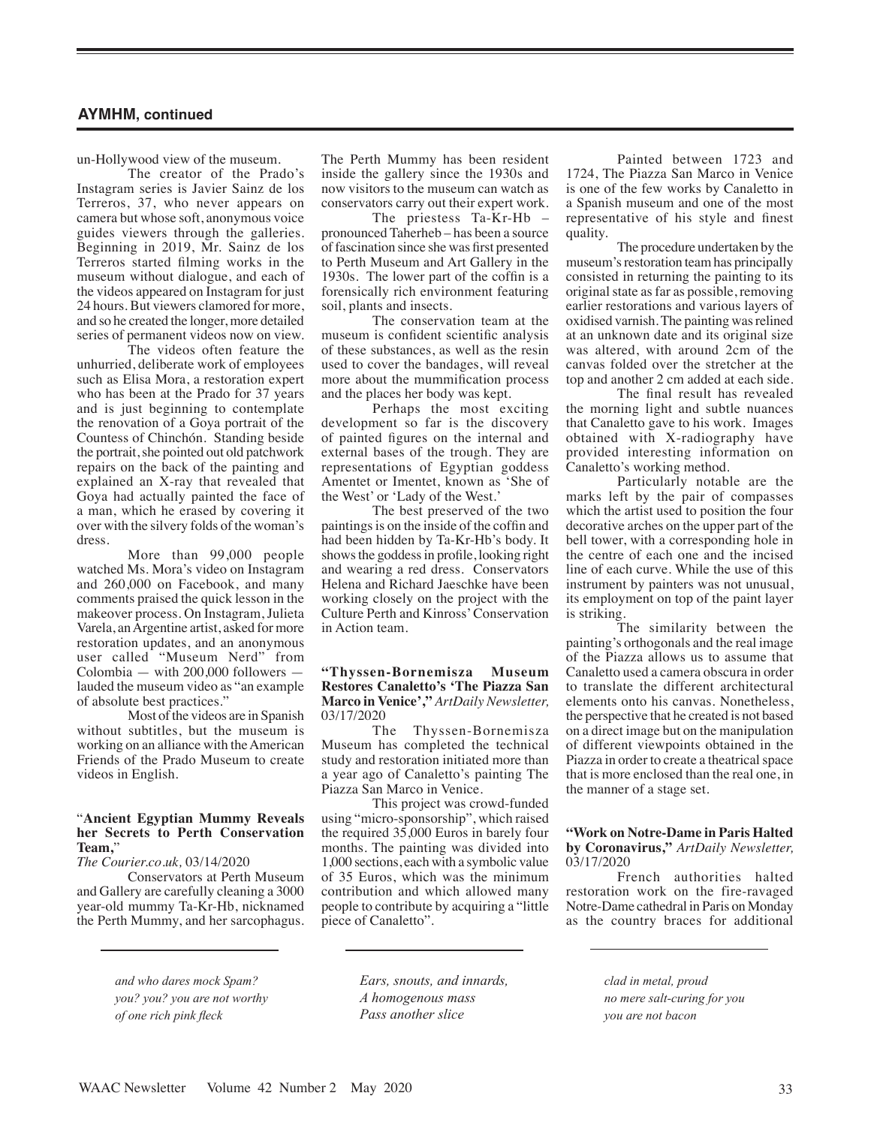un-Hollywood view of the museum.

The creator of the Prado's Instagram series is Javier Sainz de los Terreros, 37, who never appears on camera but whose soft, anonymous voice guides viewers through the galleries. Beginning in 2019, Mr. Sainz de los Terreros started filming works in the museum without dialogue, and each of the videos appeared on Instagram for just 24 hours. But viewers clamored for more, and so he created the longer, more detailed series of permanent videos now on view.

The videos often feature the unhurried, deliberate work of employees such as Elisa Mora, a restoration expert who has been at the Prado for 37 years and is just beginning to contemplate the renovation of a Goya portrait of the Countess of Chinchón. Standing beside the portrait, she pointed out old patchwork repairs on the back of the painting and explained an X-ray that revealed that Goya had actually painted the face of a man, which he erased by covering it over with the silvery folds of the woman's dress.

More than 99,000 people watched Ms. Mora's video on Instagram and 260,000 on Facebook, and many comments praised the quick lesson in the makeover process. On Instagram, Julieta Varela, an Argentine artist, asked for more restoration updates, and an anonymous user called "Museum Nerd" from Colombia — with  $200,000$  followers lauded the museum video as "an example of absolute best practices."

Most of the videos are in Spanish without subtitles, but the museum is working on an alliance with the American Friends of the Prado Museum to create videos in English.

# "**Ancient Egyptian Mummy Reveals her Secrets to Perth Conservation Team,**"

*The Courier.co.uk,* 03/14/2020

Conservators at Perth Museum and Gallery are carefully cleaning a 3000 year-old mummy Ta-Kr-Hb, nicknamed the Perth Mummy, and her sarcophagus.

> *and who dares mock Spam? you? you? you are not worthy of one rich pink fleck*

The Perth Mummy has been resident inside the gallery since the 1930s and now visitors to the museum can watch as conservators carry out their expert work.

The priestess Ta-Kr-Hb – pronounced Taherheb – has been a source of fascination since she was first presented to Perth Museum and Art Gallery in the 1930s. The lower part of the coffin is a forensically rich environment featuring soil, plants and insects.

The conservation team at the museum is confident scientific analysis of these substances, as well as the resin used to cover the bandages, will reveal more about the mummification process and the places her body was kept.

Perhaps the most exciting development so far is the discovery of painted figures on the internal and external bases of the trough. They are representations of Egyptian goddess Amentet or Imentet, known as 'She of the West' or 'Lady of the West.'

The best preserved of the two paintings is on the inside of the coffin and had been hidden by Ta-Kr-Hb's body. It shows the goddess in profile, looking right and wearing a red dress. Conservators Helena and Richard Jaeschke have been working closely on the project with the Culture Perth and Kinross' Conservation in Action team.

**"Thyssen-Bornemisza Museum Restores Canaletto's 'The Piazza San Marco in Venice',"** *ArtDaily Newsletter,*  03/17/2020

The Thyssen-Bornemisza Museum has completed the technical study and restoration initiated more than a year ago of Canaletto's painting The Piazza San Marco in Venice.

This project was crowd-funded using "micro-sponsorship", which raised the required 35,000 Euros in barely four months. The painting was divided into 1,000 sections, each with a symbolic value of 35 Euros, which was the minimum contribution and which allowed many people to contribute by acquiring a "little piece of Canaletto".

> *Ears, snouts, and innards, A homogenous mass Pass another slice*

Painted between 1723 and 1724, The Piazza San Marco in Venice is one of the few works by Canaletto in a Spanish museum and one of the most representative of his style and finest quality.

The procedure undertaken by the museum's restoration team has principally consisted in returning the painting to its original state as far as possible, removing earlier restorations and various layers of oxidised varnish. The painting was relined at an unknown date and its original size was altered, with around 2cm of the canvas folded over the stretcher at the top and another 2 cm added at each side.

The final result has revealed the morning light and subtle nuances that Canaletto gave to his work. Images obtained with X-radiography have provided interesting information on Canaletto's working method.

Particularly notable are the marks left by the pair of compasses which the artist used to position the four decorative arches on the upper part of the bell tower, with a corresponding hole in the centre of each one and the incised line of each curve. While the use of this instrument by painters was not unusual, its employment on top of the paint layer is striking.

The similarity between the painting's orthogonals and the real image of the Piazza allows us to assume that Canaletto used a camera obscura in order to translate the different architectural elements onto his canvas. Nonetheless, the perspective that he created is not based on a direct image but on the manipulation of different viewpoints obtained in the Piazza in order to create a theatrical space that is more enclosed than the real one, in the manner of a stage set.

#### **"Work on Notre-Dame in Paris Halted by Coronavirus,"** *ArtDaily Newsletter,* 03/17/2020

French authorities halted restoration work on the fire-ravaged Notre-Dame cathedral in Paris on Monday as the country braces for additional

> *clad in metal, proud no mere salt-curing for you you are not bacon*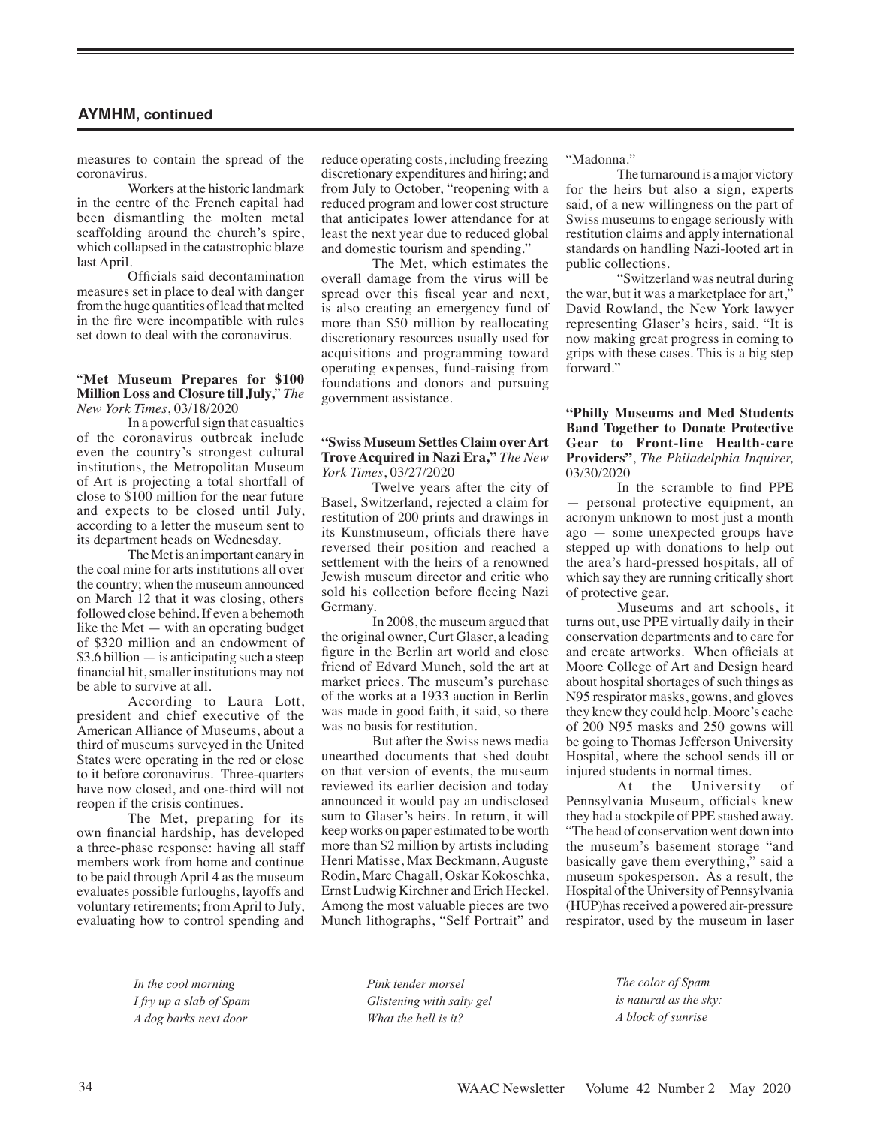measures to contain the spread of the coronavirus.

Workers at the historic landmark in the centre of the French capital had been dismantling the molten metal scaffolding around the church's spire, which collapsed in the catastrophic blaze last April.

Officials said decontamination measures set in place to deal with danger from the huge quantities of lead that melted in the fire were incompatible with rules set down to deal with the coronavirus.

#### "**Met Museum Prepares for \$100 Million Loss and Closure till July,**" *The New York Times*, 03/18/2020

In a powerful sign that casualties of the coronavirus outbreak include even the country's strongest cultural institutions, the Metropolitan Museum of Art is projecting a total shortfall of close to \$100 million for the near future and expects to be closed until July, according to a letter the museum sent to its department heads on Wednesday.

The Met is an important canary in the coal mine for arts institutions all over the country; when the museum announced on March 12 that it was closing, others followed close behind. If even a behemoth like the Met — with an operating budget of \$320 million and an endowment of \$3.6 billion — is anticipating such a steep financial hit, smaller institutions may not be able to survive at all.

According to Laura Lott, president and chief executive of the American Alliance of Museums, about a third of museums surveyed in the United States were operating in the red or close to it before coronavirus. Three-quarters have now closed, and one-third will not reopen if the crisis continues.

The Met, preparing for its own financial hardship, has developed a three-phase response: having all staff members work from home and continue to be paid through April 4 as the museum evaluates possible furloughs, layoffs and voluntary retirements; from April to July, evaluating how to control spending and

reduce operating costs, including freezing discretionary expenditures and hiring; and from July to October, "reopening with a reduced program and lower cost structure that anticipates lower attendance for at least the next year due to reduced global and domestic tourism and spending."

The Met, which estimates the overall damage from the virus will be spread over this fiscal year and next, is also creating an emergency fund of more than \$50 million by reallocating discretionary resources usually used for acquisitions and programming toward operating expenses, fund-raising from foundations and donors and pursuing government assistance.

## **"Swiss Museum Settles Claim over Art Trove Acquired in Nazi Era,"** *The New York Times*, 03/27/2020

Twelve years after the city of Basel, Switzerland, rejected a claim for restitution of 200 prints and drawings in its Kunstmuseum, officials there have reversed their position and reached a settlement with the heirs of a renowned Jewish museum director and critic who sold his collection before fleeing Nazi Germany.

In 2008, the museum argued that the original owner, Curt Glaser, a leading figure in the Berlin art world and close friend of Edvard Munch, sold the art at market prices. The museum's purchase of the works at a 1933 auction in Berlin was made in good faith, it said, so there was no basis for restitution.

But after the Swiss news media unearthed documents that shed doubt on that version of events, the museum reviewed its earlier decision and today announced it would pay an undisclosed sum to Glaser's heirs. In return, it will keep works on paper estimated to be worth more than \$2 million by artists including Henri Matisse, Max Beckmann, Auguste Rodin, Marc Chagall, Oskar Kokoschka, Ernst Ludwig Kirchner and Erich Heckel. Among the most valuable pieces are two Munch lithographs, "Self Portrait" and "Madonna."

The turnaround is a major victory for the heirs but also a sign, experts said, of a new willingness on the part of Swiss museums to engage seriously with restitution claims and apply international standards on handling Nazi-looted art in public collections.

"Switzerland was neutral during the war, but it was a marketplace for art," David Rowland, the New York lawyer representing Glaser's heirs, said. "It is now making great progress in coming to grips with these cases. This is a big step forward."

## **"Philly Museums and Med Students Band Together to Donate Protective Gear to Front-line Health-care Providers"**, *The Philadelphia Inquirer,*  03/30/2020

In the scramble to find PPE — personal protective equipment, an acronym unknown to most just a month ago — some unexpected groups have stepped up with donations to help out the area's hard-pressed hospitals, all of which say they are running critically short of protective gear.

Museums and art schools, it turns out, use PPE virtually daily in their conservation departments and to care for and create artworks. When officials at Moore College of Art and Design heard about hospital shortages of such things as N95 respirator masks, gowns, and gloves they knew they could help. Moore's cache of 200 N95 masks and 250 gowns will be going to Thomas Jefferson University Hospital, where the school sends ill or injured students in normal times.

At the University of Pennsylvania Museum, officials knew they had a stockpile of PPE stashed away. "The head of conservation went down into the museum's basement storage "and basically gave them everything," said a museum spokesperson. As a result, the Hospital of the University of Pennsylvania (HUP)has received a powered air-pressure respirator, used by the museum in laser

*In the cool morning I fry up a slab of Spam A dog barks next door*

*Pink tender morsel Glistening with salty gel What the hell is it?*

*The color of Spam is natural as the sky: A block of sunrise*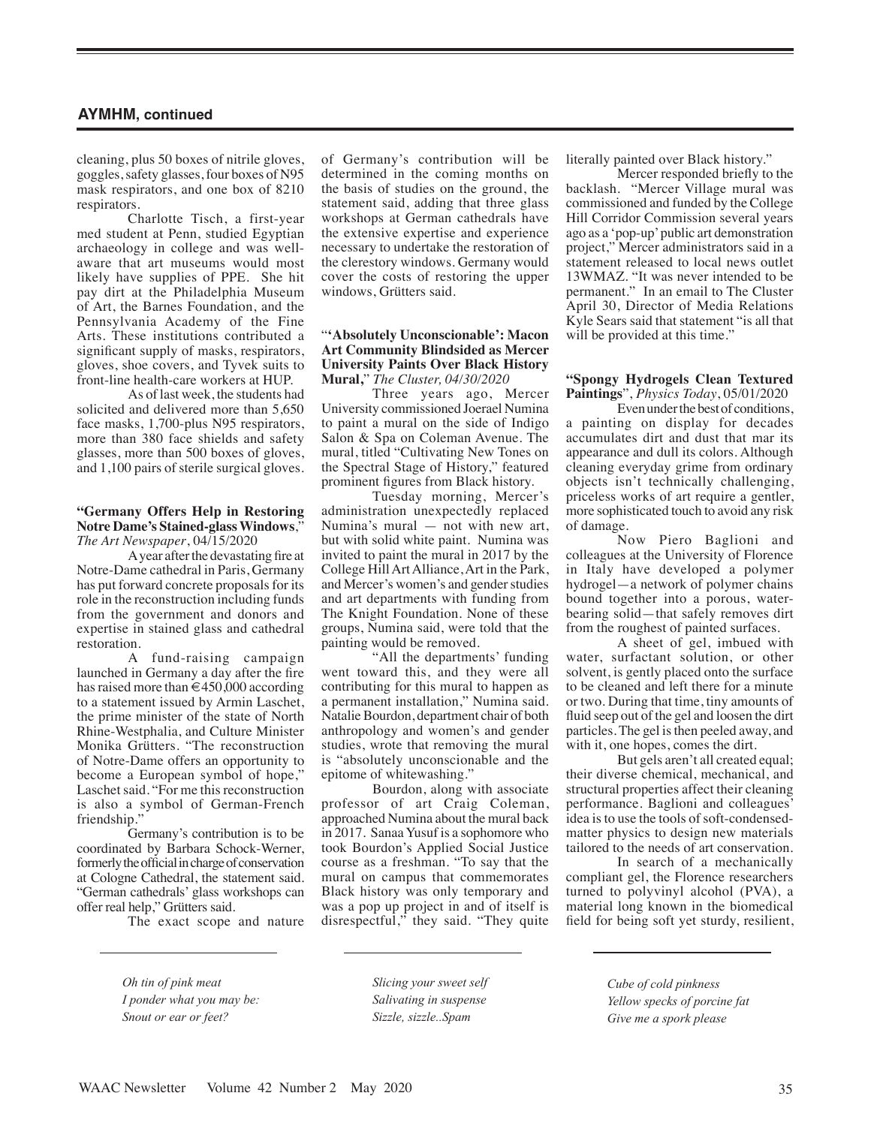cleaning, plus 50 boxes of nitrile gloves, goggles, safety glasses, four boxes of N95 mask respirators, and one box of 8210 respirators.

Charlotte Tisch, a first-year med student at Penn, studied Egyptian archaeology in college and was wellaware that art museums would most likely have supplies of PPE. She hit pay dirt at the Philadelphia Museum of Art, the Barnes Foundation, and the Pennsylvania Academy of the Fine Arts. These institutions contributed a significant supply of masks, respirators, gloves, shoe covers, and Tyvek suits to front-line health-care workers at HUP.

As of last week, the students had solicited and delivered more than 5,650 face masks, 1,700-plus N95 respirators, more than 380 face shields and safety glasses, more than 500 boxes of gloves, and 1,100 pairs of sterile surgical gloves.

#### **"Germany Offers Help in Restoring Notre Dame's Stained-glass Windows**," *The Art Newspaper*, 04/15/2020

A year after the devastating fire at Notre-Dame cathedral in Paris, Germany has put forward concrete proposals for its role in the reconstruction including funds from the government and donors and expertise in stained glass and cathedral restoration.

A fund-raising campaign launched in Germany a day after the fire has raised more than  $\epsilon$ 450,000 according to a statement issued by Armin Laschet, the prime minister of the state of North Rhine-Westphalia, and Culture Minister Monika Grütters. "The reconstruction of Notre-Dame offers an opportunity to become a European symbol of hope," Laschet said. "For me this reconstruction is also a symbol of German-French friendship.'

Germany's contribution is to be coordinated by Barbara Schock-Werner, formerly the official in charge of conservation at Cologne Cathedral, the statement said. "German cathedrals' glass workshops can offer real help," Grütters said.

The exact scope and nature

of Germany's contribution will be determined in the coming months on the basis of studies on the ground, the statement said, adding that three glass workshops at German cathedrals have the extensive expertise and experience necessary to undertake the restoration of the clerestory windows. Germany would cover the costs of restoring the upper windows, Grütters said.

#### "**'Absolutely Unconscionable': Macon Art Community Blindsided as Mercer University Paints Over Black History Mural,**" *The Cluster, 04/30/2020*

Three years ago, Mercer University commissioned Joerael Numina to paint a mural on the side of Indigo Salon & Spa on Coleman Avenue. The mural, titled "Cultivating New Tones on the Spectral Stage of History," featured prominent figures from Black history.

Tuesday morning, Mercer's administration unexpectedly replaced Numina's mural — not with new art, but with solid white paint. Numina was invited to paint the mural in 2017 by the College Hill Art Alliance, Art in the Park, and Mercer's women's and gender studies and art departments with funding from The Knight Foundation. None of these groups, Numina said, were told that the painting would be removed.

"All the departments' funding went toward this, and they were all contributing for this mural to happen as a permanent installation," Numina said. Natalie Bourdon, department chair of both anthropology and women's and gender studies, wrote that removing the mural is "absolutely unconscionable and the epitome of whitewashing."

Bourdon, along with associate professor of art Craig Coleman, approached Numina about the mural back in 2017. Sanaa Yusuf is a sophomore who took Bourdon's Applied Social Justice course as a freshman. "To say that the mural on campus that commemorates Black history was only temporary and was a pop up project in and of itself is disrespectful," they said. "They quite literally painted over Black history."

Mercer responded briefly to the backlash. "Mercer Village mural was commissioned and funded by the College Hill Corridor Commission several years ago as a 'pop-up' public art demonstration project," Mercer administrators said in a statement released to local news outlet 13WMAZ. "It was never intended to be permanent." In an email to The Cluster April 30, Director of Media Relations Kyle Sears said that statement "is all that will be provided at this time."

## **"Spongy Hydrogels Clean Textured Paintings**", *Physics Today*, 05/01/2020

Even under the best of conditions, a painting on display for decades accumulates dirt and dust that mar its appearance and dull its colors. Although cleaning everyday grime from ordinary objects isn't technically challenging, priceless works of art require a gentler, more sophisticated touch to avoid any risk of damage.

Now Piero Baglioni and colleagues at the University of Florence in Italy have developed a polymer hydrogel—a network of polymer chains bound together into a porous, waterbearing solid—that safely removes dirt from the roughest of painted surfaces.

A sheet of gel, imbued with water, surfactant solution, or other solvent, is gently placed onto the surface to be cleaned and left there for a minute or two. During that time, tiny amounts of fluid seep out of the gel and loosen the dirt particles. The gel is then peeled away, and with it, one hopes, comes the dirt.

But gels aren't all created equal; their diverse chemical, mechanical, and structural properties affect their cleaning performance. Baglioni and colleagues' idea is to use the tools of soft-condensedmatter physics to design new materials tailored to the needs of art conservation.

In search of a mechanically compliant gel, the Florence researchers turned to polyvinyl alcohol (PVA), a material long known in the biomedical field for being soft yet sturdy, resilient,

*Oh tin of pink meat I ponder what you may be: Snout or ear or feet?*

*Slicing your sweet self Salivating in suspense Sizzle, sizzle..Spam*